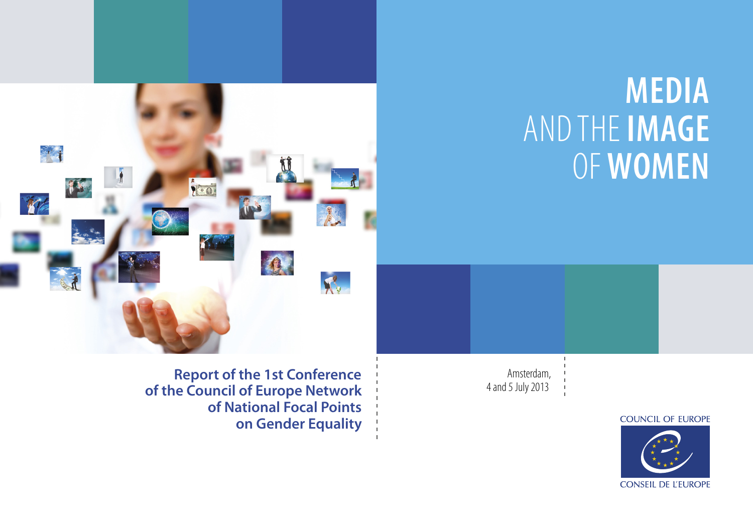

Amsterdam, 4 and 5 July 2013

**COUNCIL OF EUROPE** 



**Report of the 1st Conference of the Council of Europe Network of National Focal Points on Gender Equality**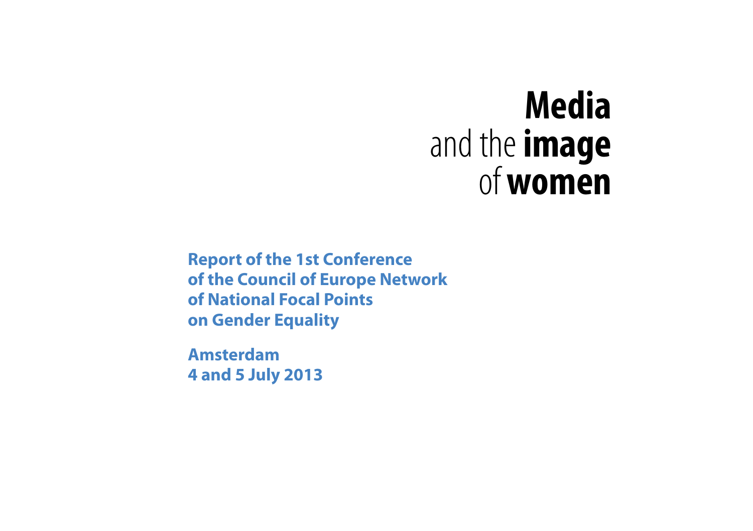# **Media**  and the **image**  of **women**

**Report of the 1st Conference of the Council of Europe Network of National Focal Points on Gender Equality**

**Amsterdam 4 and 5 July 2013**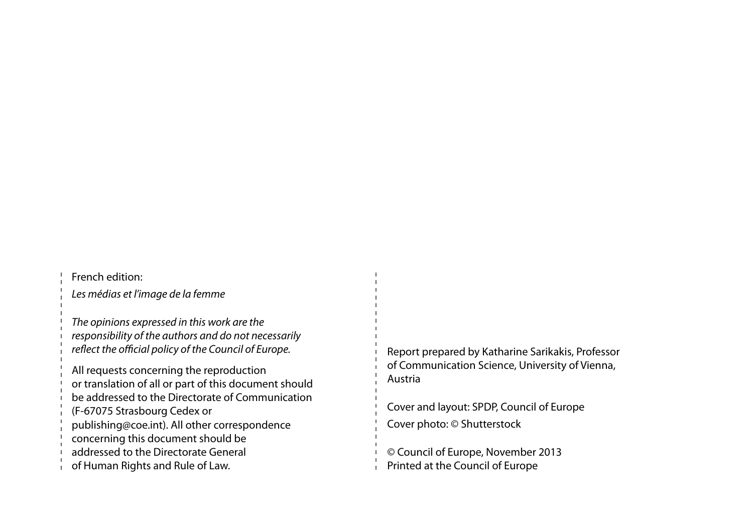#### French edition:

*Les médias et l'image de la femme*

*The opinions expressed in this work are the responsibility of the authors and do not necessarily reflect the official policy of the Council of Europe.* 

All requests concerning the reproduction or translation of all or part of this document should be addressed to the Directorate of Communication (F-67075 Strasbourg Cedex or publishing@coe.int). All other correspondence concerning this document should be addressed to the Directorate General of Human Rights and Rule of Law.

Report prepared by Katharine Sarikakis, Professor of Communication Science, University of Vienna, Austria

Cover and layout: SPDP, Council of Europe Cover photo: © Shutterstock

© Council of Europe, November 2013 Printed at the Council of Europe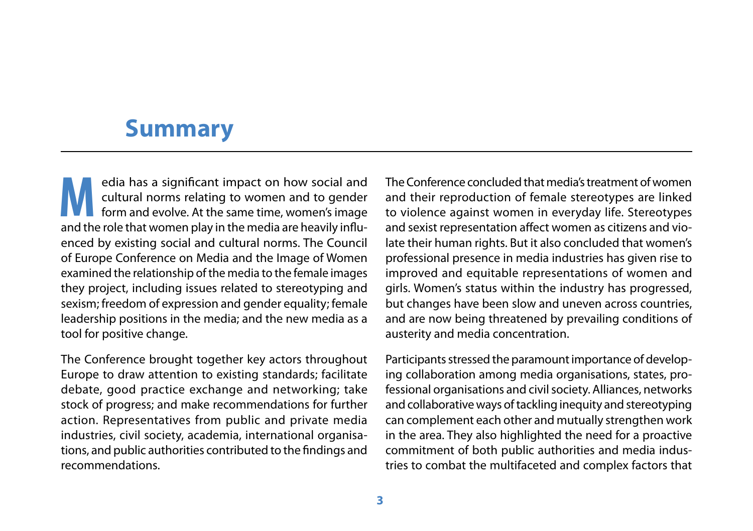### **Summary**

**MAGE THE SAMPLE THE SAMPLE THE SAMPLE THE SAMPLE THE SAMPLE THE SAMPLE THE SAMPLE THE SAMPLE THE SAMPLE THE SAMPLE THE SAMPLE THE SAMPLE THE SAMPLE THE SAMPLE THE SAMPLE THE SAMPLE THE SAMPLE THE SAMPLE THE SAMPLE THE SAM** cultural norms relating to women and to gender and the role that women play in the media are heavily influenced by existing social and cultural norms. The Council of Europe Conference on Media and the Image of Women examined the relationship of the media to the female images they project, including issues related to stereotyping and sexism; freedom of expression and gender equality; female leadership positions in the media; and the new media as a tool for positive change.

The Conference brought together key actors throughout Europe to draw attention to existing standards; facilitate debate, good practice exchange and networking; take stock of progress; and make recommendations for further action. Representatives from public and private media industries, civil society, academia, international organisations, and public authorities contributed to the findings and recommendations.

The Conference concluded that media's treatment of women and their reproduction of female stereotypes are linked to violence against women in everyday life. Stereotypes and sexist representation affect women as citizens and violate their human rights. But it also concluded that women's professional presence in media industries has given rise to improved and equitable representations of women and girls. Women's status within the industry has progressed, but changes have been slow and uneven across countries, and are now being threatened by prevailing conditions of austerity and media concentration.

Participants stressed the paramount importance of developing collaboration among media organisations, states, professional organisations and civil society. Alliances, networks and collaborative ways of tackling inequity and stereotyping can complement each other and mutually strengthen work in the area. They also highlighted the need for a proactive commitment of both public authorities and media industries to combat the multifaceted and complex factors that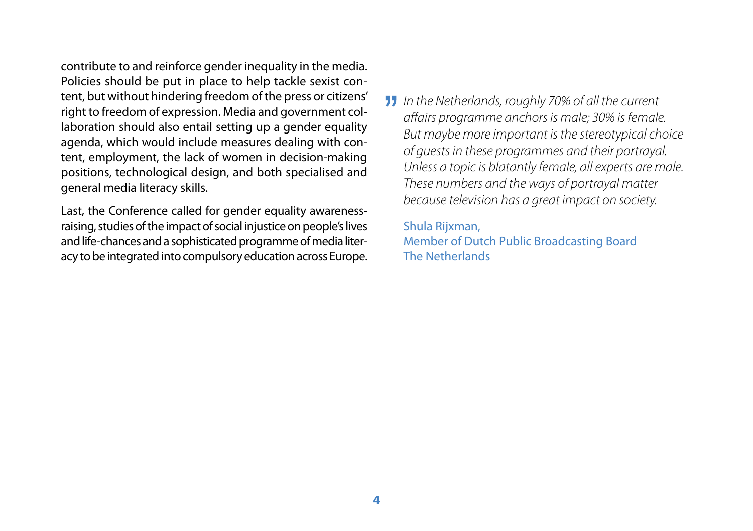contribute to and reinforce gender inequality in the media. Policies should be put in place to help tackle sexist content, but without hindering freedom of the press or citizens' right to freedom of expression. Media and government collaboration should also entail setting up a gender equality agenda, which would include measures dealing with content, employment, the lack of women in decision-making positions, technological design, and both specialised and general media literacy skills.

Last, the Conference called for gender equality awarenessraising, studies of the impact of social injustice on people's lives and life-chances and a sophisticated programme of media literacy to be integrated into compulsory education across Europe. *In the Netherlands, roughly 70% of all the current affairs programme anchors is male; 30% is female. But maybe more important is the stereotypical choice of guests in these programmes and their portrayal. Unless a topic is blatantly female, all experts are male. These numbers and the ways of portrayal matter because television has a great impact on society.*

Shula Rijxman, Member of Dutch Public Broadcasting Board The Netherlands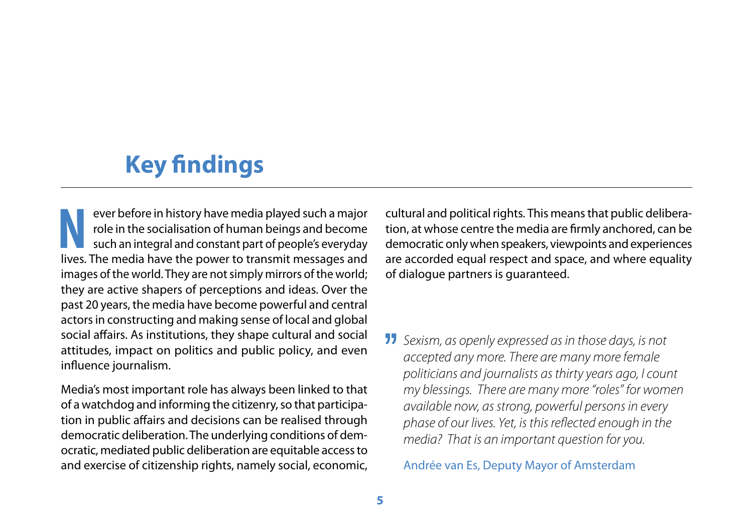# **Key findings**

**N**ever before in history have media played such a major role in the socialisation of human beings and become such an integral and constant part of people's everyday lives. The media have the power to transmit messages and images of the world. They are not simply mirrors of the world; they are active shapers of perceptions and ideas. Over the past 20 years, the media have become powerful and central actors in constructing and making sense of local and global social affairs. As institutions, they shape cultural and social attitudes, impact on politics and public policy, and even influence journalism.

Media's most important role has always been linked to that of a watchdog and informing the citizenry, so that participation in public affairs and decisions can be realised through democratic deliberation. The underlying conditions of democratic, mediated public deliberation are equitable access to and exercise of citizenship rights, namely social, economic, cultural and political rights*.* This means that public deliberation, at whose centre the media are firmly anchored, can be democratic only when speakers, viewpoints and experiences are accorded equal respect and space, and where equality of dialogue partners is guaranteed.

*Sexism, as openly expressed as in those days, is not accepted any more. There are many more female politicians and journalists as thirty years ago, I count my blessings. There are many more "roles" for women available now, as strong, powerful persons in every phase of our lives. Yet, is this reflected enough in the media? That is an important question for you.*

Andrée van Es, Deputy Mayor of Amsterdam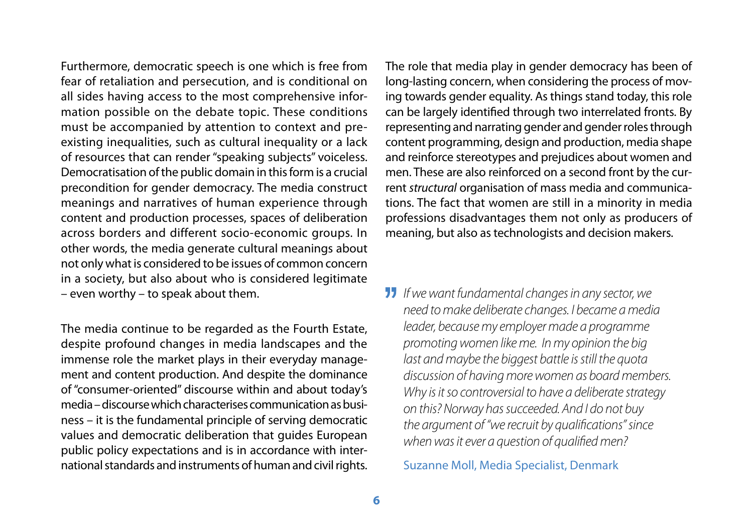Furthermore, democratic speech is one which is free from fear of retaliation and persecution, and is conditional on all sides having access to the most comprehensive information possible on the debate topic. These conditions must be accompanied by attention to context and preexisting inequalities, such as cultural inequality or a lack of resources that can render "speaking subjects" voiceless. Democratisation of the public domain in this form is a crucial precondition for gender democracy. The media construct meanings and narratives of human experience through content and production processes, spaces of deliberation across borders and different socio-economic groups. In other words, the media generate cultural meanings about not only what is considered to be issues of common concern in a society, but also about who is considered legitimate – even worthy – to speak about them.

The media continue to be regarded as the Fourth Estate, despite profound changes in media landscapes and the immense role the market plays in their everyday management and content production. And despite the dominance of "consumer-oriented" discourse within and about today's media – discourse which characterises communication as business – it is the fundamental principle of serving democratic values and democratic deliberation that guides European public policy expectations and is in accordance with international standards and instruments of human and civil rights. The role that media play in gender democracy has been of long-lasting concern, when considering the process of moving towards gender equality. As things stand today, this role can be largely identified through two interrelated fronts. By representing and narrating gender and gender roles through content programming, design and production, media shape and reinforce stereotypes and prejudices about women and men. These are also reinforced on a second front by the current *structural* organisation of mass media and communications. The fact that women are still in a minority in media professions disadvantages them not only as producers of meaning, but also as technologists and decision makers.

*If we want fundamental changes in any sector, we need to make deliberate changes. I became a media leader, because my employer made a programme promoting women like me. In my opinion the big last and maybe the biggest battle is still the quota discussion of having more women as board members. Why is it so controversial to have a deliberate strategy on this? Norway has succeeded. And I do not buy the argument of "we recruit by qualifications" since when was it ever a question of qualified men?*

Suzanne Moll, Media Specialist, Denmark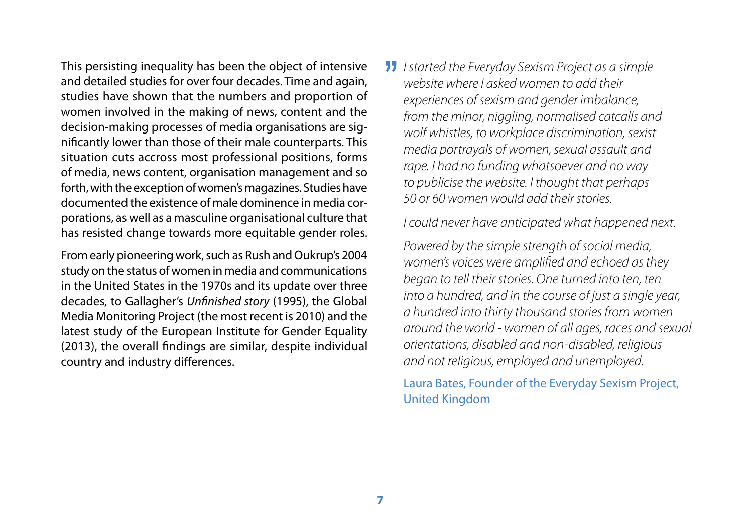This persisting inequality has been the object of intensive and detailed studies for over four decades. Time and again, studies have shown that the numbers and proportion of women involved in the making of news, content and the decision-making processes of media organisations are significantly lower than those of their male counterparts. This situation cuts accross most professional positions, forms of media, news content, organisation management and so forth, with the exception of women's magazines. Studies have documented the existence of male dominence in media corporations, as well as a masculine organisational culture that has resisted change towards more equitable gender roles.

From early pioneering work, such as Rush and Oukrup's 2004 study on the status of women in media and communications in the United States in the 1970s and its update over three decades, to Gallagher's *Unfinished story* (1995), the Global Media Monitoring Project (the most recent is 2010) and the latest study of the European Institute for Gender Equality (2013), the overall findings are similar, despite individual country and industry differences.

*I started the Everyday Sexism Project as a simple website where I asked women to add their experiences of sexism and gender imbalance, from the minor, niggling, normalised catcalls and wolf whistles, to workplace discrimination, sexist media portrayals of women, sexual assault and rape. I had no funding whatsoever and no way to publicise the website. I thought that perhaps 50 or 60 women would add their stories.*

*I could never have anticipated what happened next.*

*Powered by the simple strength of social media, women's voices were amplified and echoed as they began to tell their stories. One turned into ten, ten into a hundred, and in the course of just a single year, a hundred into thirty thousand stories from women around the world - women of all ages, races and sexual orientations, disabled and non-disabled, religious and not religious, employed and unemployed.*

Laura Bates, Founder of the Everyday Sexism Project, United Kingdom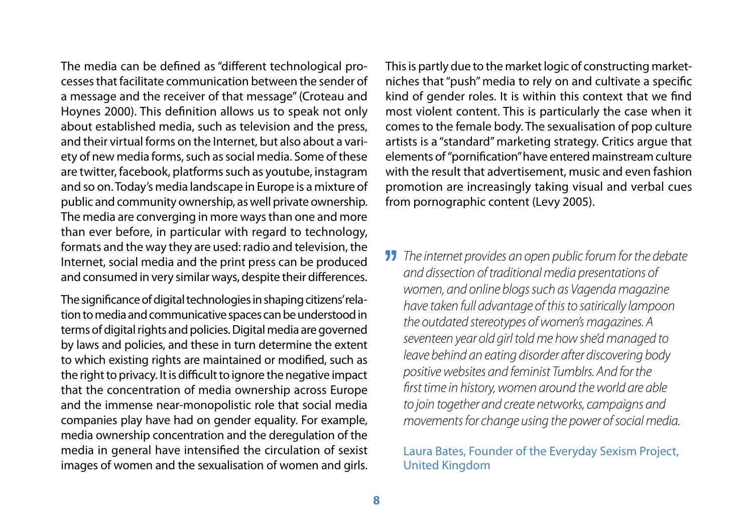The media can be defined as "different technological processes that facilitate communication between the sender of a message and the receiver of that message" (Croteau and Hoynes 2000). This definition allows us to speak not only about established media, such as television and the press, and their virtual forms on the Internet, but also about a variety of new media forms, such as social media. Some of these are twitter, facebook, platforms such as youtube, instagram and so on. Today's media landscape in Europe is a mixture of public and community ownership, as well private ownership. The media are converging in more ways than one and more than ever before, in particular with regard to technology, formats and the way they are used: radio and television, the Internet, social media and the print press can be produced and consumed in very similar ways, despite their differences.

The significance of digital technologies in shaping citizens' relation to media and communicative spaces can be understood in terms of digital rights and policies. Digital media are governed by laws and policies, and these in turn determine the extent to which existing rights are maintained or modified, such as the right to privacy. It is difficult to ignore the negative impact that the concentration of media ownership across Europe and the immense near-monopolistic role that social media companies play have had on gender equality. For example, media ownership concentration and the deregulation of the media in general have intensified the circulation of sexist images of women and the sexualisation of women and girls.

This is partly due to the market logic of constructing marketniches that "push" media to rely on and cultivate a specific kind of gender roles. It is within this context that we find most violent content. This is particularly the case when it comes to the female body. The sexualisation of pop culture artists is a "standard" marketing strategy. Critics argue that elements of "pornification" have entered mainstream culture with the result that advertisement, music and even fashion promotion are increasingly taking visual and verbal cues from pornographic content (Levy 2005).

*The internet provides an open public forum for the debate and dissection of traditional media presentations of women, and online blogs such as Vagenda magazine have taken full advantage of this to satirically lampoon the outdated stereotypes of women's magazines. A seventeen year old girl told me how she'd managed to leave behind an eating disorder after discovering body positive websites and feminist Tumblrs. And for the first time in history, women around the world are able to join together and create networks, campaigns and movements for change using the power of social media.*

#### Laura Bates, Founder of the Everyday Sexism Project, United Kingdom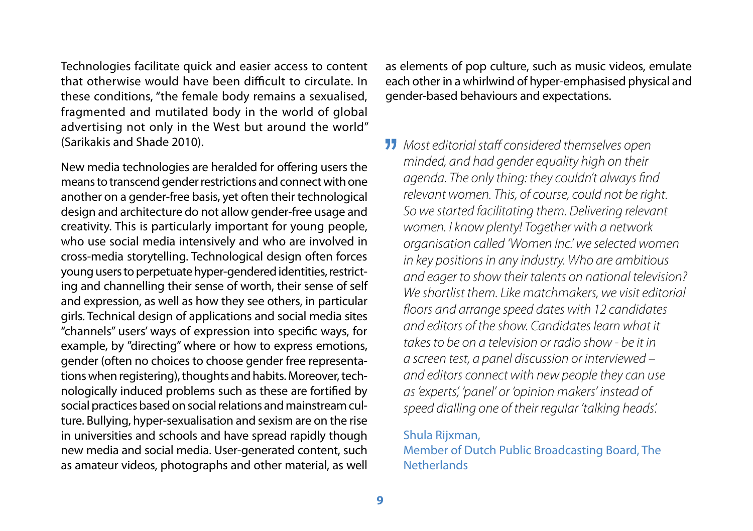Technologies facilitate quick and easier access to content that otherwise would have been difficult to circulate. In these conditions, "the female body remains a sexualised, fragmented and mutilated body in the world of global advertising not only in the West but around the world" (Sarikakis and Shade 2010).

New media technologies are heralded for offering users the means to transcend gender restrictions and connect with one another on a gender-free basis, yet often their technological design and architecture do not allow gender-free usage and creativity. This is particularly important for young people, who use social media intensively and who are involved in cross-media storytelling. Technological design often forces young users to perpetuate hyper-gendered identities, restricting and channelling their sense of worth, their sense of self and expression, as well as how they see others, in particular girls. Technical design of applications and social media sites "channels" users' ways of expression into specific ways, for example, by "directing" where or how to express emotions, gender (often no choices to choose gender free representations when registering), thoughts and habits. Moreover, technologically induced problems such as these are fortified by social practices based on social relations and mainstream culture. Bullying, hyper-sexualisation and sexism are on the rise in universities and schools and have spread rapidly though new media and social media. User-generated content, such as amateur videos, photographs and other material, as well

as elements of pop culture, such as music videos, emulate each other in a whirlwind of hyper-emphasised physical and gender-based behaviours and expectations.

*Most editorial staff considered themselves open minded, and had gender equality high on their agenda. The only thing: they couldn't always find relevant women. This, of course, could not be right. So we started facilitating them. Delivering relevant women. I know plenty! Together with a network organisation called 'Women Inc.' we selected women in key positions in any industry. Who are ambitious and eager to show their talents on national television? We shortlist them. Like matchmakers, we visit editorial floors and arrange speed dates with 12 candidates and editors of the show. Candidates learn what it takes to be on a television or radio show - be it in a screen test, a panel discussion or interviewed – and editors connect with new people they can use as 'experts', 'panel' or 'opinion makers' instead of speed dialling one of their regular 'talking heads'.* 

#### Shula Rijxman,

Member of Dutch Public Broadcasting Board, The **Netherlands**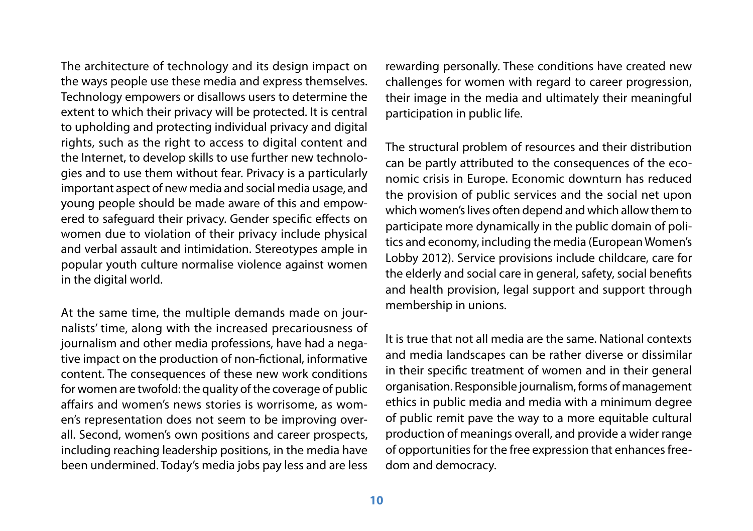The architecture of technology and its design impact on the ways people use these media and express themselves. Technology empowers or disallows users to determine the extent to which their privacy will be protected. It is central to upholding and protecting individual privacy and digital rights, such as the right to access to digital content and the Internet, to develop skills to use further new technologies and to use them without fear. Privacy is a particularly important aspect of new media and social media usage, and young people should be made aware of this and empowered to safeguard their privacy. Gender specific effects on women due to violation of their privacy include physical and verbal assault and intimidation. Stereotypes ample in popular youth culture normalise violence against women in the digital world.

At the same time, the multiple demands made on journalists' time, along with the increased precariousness of journalism and other media professions, have had a negative impact on the production of non-fictional, informative content. The consequences of these new work conditions for women are twofold: the quality of the coverage of public affairs and women's news stories is worrisome, as women's representation does not seem to be improving overall. Second, women's own positions and career prospects, including reaching leadership positions, in the media have been undermined. Today's media jobs pay less and are less rewarding personally. These conditions have created new challenges for women with regard to career progression, their image in the media and ultimately their meaningful participation in public life.

The structural problem of resources and their distribution can be partly attributed to the consequences of the economic crisis in Europe. Economic downturn has reduced the provision of public services and the social net upon which women's lives often depend and which allow them to participate more dynamically in the public domain of politics and economy, including the media (European Women's Lobby 2012). Service provisions include childcare, care for the elderly and social care in general, safety, social benefits and health provision, legal support and support through membership in unions.

It is true that not all media are the same. National contexts and media landscapes can be rather diverse or dissimilar in their specific treatment of women and in their general organisation. Responsible journalism, forms of management ethics in public media and media with a minimum degree of public remit pave the way to a more equitable cultural production of meanings overall, and provide a wider range of opportunities for the free expression that enhances freedom and democracy.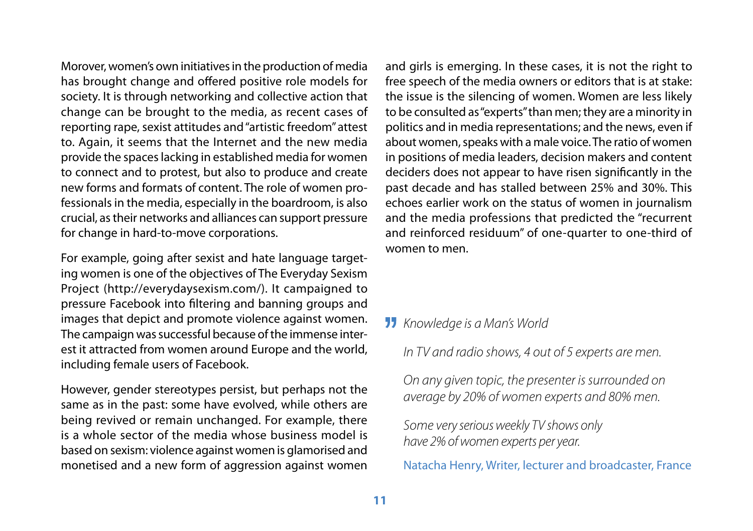Morover, women's own initiatives in the production of media has brought change and offered positive role models for society. It is through networking and collective action that change can be brought to the media, as recent cases of reporting rape, sexist attitudes and "artistic freedom" attest to. Again, it seems that the Internet and the new media provide the spaces lacking in established media for women to connect and to protest, but also to produce and create new forms and formats of content. The role of women professionals in the media, especially in the boardroom, is also crucial, as their networks and alliances can support pressure for change in hard-to-move corporations.

For example, going after sexist and hate language targeting women is one of the objectives of The Everyday Sexism Project (http://everydaysexism.com/). It campaigned to pressure Facebook into filtering and banning groups and images that depict and promote violence against women. The campaign was successful because of the immense interest it attracted from women around Europe and the world, including female users of Facebook.

However, gender stereotypes persist, but perhaps not the same as in the past: some have evolved, while others are being revived or remain unchanged. For example, there is a whole sector of the media whose business model is based on sexism: violence against women is glamorised and monetised and a new form of aggression against women

and girls is emerging. In these cases, it is not the right to free speech of the media owners or editors that is at stake: the issue is the silencing of women. Women are less likely to be consulted as "experts" than men; they are a minority in politics and in media representations; and the news, even if about women, speaks with a male voice. The ratio of women in positions of media leaders, decision makers and content deciders does not appear to have risen significantly in the past decade and has stalled between 25% and 30%. This echoes earlier work on the status of women in journalism and the media professions that predicted the "recurrent and reinforced residuum" of one-quarter to one-third of women to men.

#### *Knowledge is a Man's World*

*In TV and radio shows, 4 out of 5 experts are men.* 

*On any given topic, the presenter is surrounded on average by 20% of women experts and 80% men.* 

*Some very serious weekly TV shows only have 2% of women experts per year.*

Natacha Henry, Writer, lecturer and broadcaster, France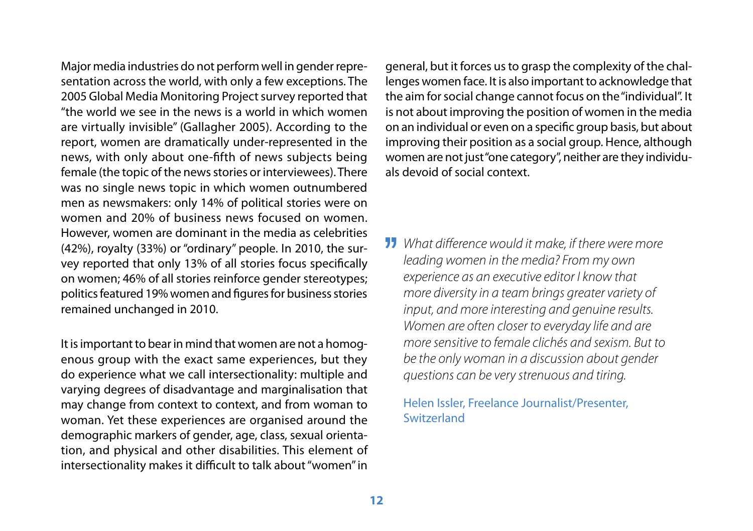Major media industries do not perform well in gender representation across the world, with only a few exceptions. The 2005 Global Media Monitoring Project survey reported that "the world we see in the news is a world in which women are virtually invisible" (Gallagher 2005). According to the report, women are dramatically under-represented in the news, with only about one-fifth of news subjects being female (the topic of the news stories or interviewees). There was no single news topic in which women outnumbered men as newsmakers: only 14% of political stories were on women and 20% of business news focused on women. However, women are dominant in the media as celebrities (42%), royalty (33%) or "ordinary" people. In 2010, the survey reported that only 13% of all stories focus specifically on women; 46% of all stories reinforce gender stereotypes; politics featured 19% women and figures for business stories remained unchanged in 2010.

It is important to bear in mind that women are not a homogenous group with the exact same experiences, but they do experience what we call intersectionality: multiple and varying degrees of disadvantage and marginalisation that may change from context to context, and from woman to woman. Yet these experiences are organised around the demographic markers of gender, age, class, sexual orientation, and physical and other disabilities. This element of intersectionality makes it difficult to talk about "women" in

general, but it forces us to grasp the complexity of the challenges women face. It is also important to acknowledge that the aim for social change cannot focus on the "individual". It is not about improving the position of women in the media on an individual or even on a specific group basis, but about improving their position as a social group. Hence, although women are not just "one category", neither are they individuals devoid of social context.

*What difference would it make, if there were more leading women in the media? From my own experience as an executive editor I know that more diversity in a team brings greater variety of input, and more interesting and genuine results. Women are often closer to everyday life and are more sensitive to female clichés and sexism. But to be the only woman in a discussion about gender questions can be very strenuous and tiring.*

Helen Issler, Freelance Journalist/Presenter, Switzerland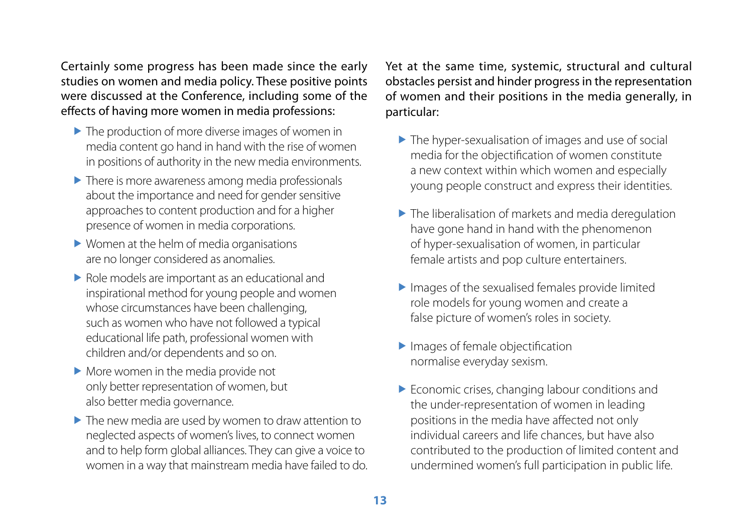Certainly some progress has been made since the early studies on women and media policy. These positive points were discussed at the Conference, including some of the effects of having more women in media professions:

- $\blacktriangleright$  The production of more diverse images of women in media content go hand in hand with the rise of women in positions of authority in the new media environments.
- $\blacktriangleright$  There is more awareness among media professionals about the importance and need for gender sensitive approaches to content production and for a higher presence of women in media corporations.
- $\blacktriangleright$  Women at the helm of media organisations are no longer considered as anomalies.
- $\blacktriangleright$  Role models are important as an educational and inspirational method for young people and women whose circumstances have been challenging, such as women who have not followed a typical educational life path, professional women with children and/or dependents and so on.
- $\blacktriangleright$  More women in the media provide not only better representation of women, but also better media governance.
- $\blacktriangleright$  The new media are used by women to draw attention to neglected aspects of women's lives, to connect women and to help form global alliances. They can give a voice to women in a way that mainstream media have failed to do.

Yet at the same time, systemic, structural and cultural obstacles persist and hinder progress in the representation of women and their positions in the media generally, in particular:

- $\blacktriangleright$  The hyper-sexualisation of images and use of social media for the objectification of women constitute a new context within which women and especially young people construct and express their identities.
- $\blacktriangleright$  The liberalisation of markets and media deregulation have gone hand in hand with the phenomenon of hyper-sexualisation of women, in particular female artists and pop culture entertainers.
- $\blacktriangleright$  Images of the sexualised females provide limited role models for young women and create a false picture of women's roles in society.
- $\blacktriangleright$  Images of female objectification normalise everyday sexism.
- $\blacktriangleright$  Economic crises, changing labour conditions and the under-representation of women in leading positions in the media have affected not only individual careers and life chances, but have also contributed to the production of limited content and undermined women's full participation in public life.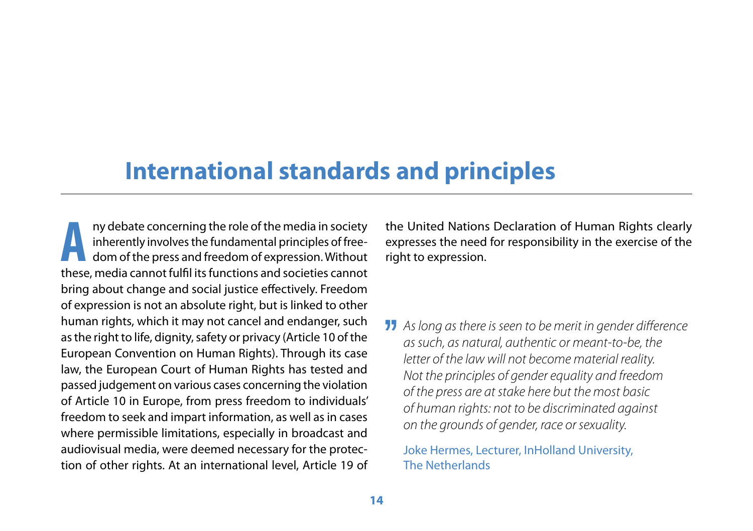# **International standards and principles**

**A** ny debate concerning the role of the media in society<br>inherently involves the fundamental principles of free-<br>dom of the press and freedom of expression. Without<br>these media cannot fulfil its functions and societies ca inherently involves the fundamental principles of freedom of the press and freedom of expression. Without these, media cannot fulfil its functions and societies cannot bring about change and social justice effectively. Freedom of expression is not an absolute right, but is linked to other human rights, which it may not cancel and endanger, such as the right to life, dignity, safety or privacy (Article 10 of the European Convention on Human Rights). Through its case law, the European Court of Human Rights has tested and passed judgement on various cases concerning the violation of Article 10 in Europe, from press freedom to individuals' freedom to seek and impart information, as well as in cases where permissible limitations, especially in broadcast and audiovisual media, were deemed necessary for the protection of other rights. At an international level, Article 19 of

the United Nations Declaration of Human Rights clearly expresses the need for responsibility in the exercise of the right to expression.

*As long as there is seen to be merit in gender difference as such, as natural, authentic or meant-to-be, the letter of the law will not become material reality. Not the principles of gender equality and freedom of the press are at stake here but the most basic of human rights: not to be discriminated against on the grounds of gender, race or sexuality.*

Joke Hermes, Lecturer, InHolland University, The Netherlands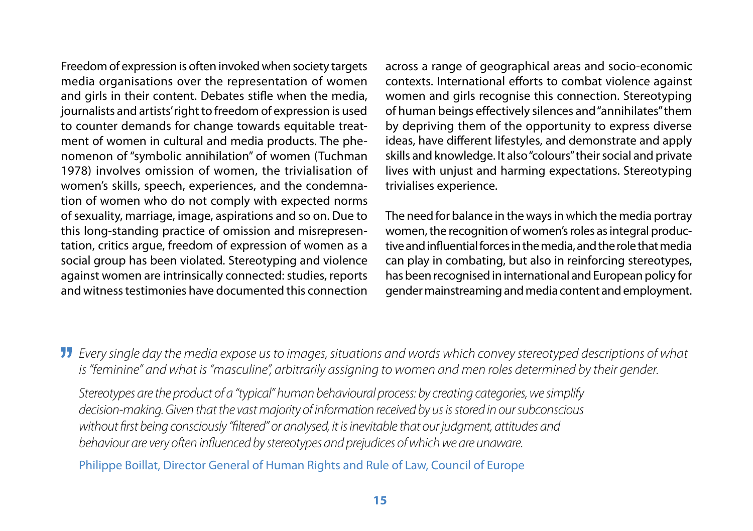Freedom of expression is often invoked when society targets media organisations over the representation of women and girls in their content. Debates stifle when the media, journalists and artists' right to freedom of expression is used to counter demands for change towards equitable treatment of women in cultural and media products. The phenomenon of "symbolic annihilation" of women (Tuchman 1978) involves omission of women, the trivialisation of women's skills, speech, experiences, and the condemnation of women who do not comply with expected norms of sexuality, marriage, image, aspirations and so on. Due to this long-standing practice of omission and misrepresentation, critics argue, freedom of expression of women as a social group has been violated. Stereotyping and violence against women are intrinsically connected: studies, reports and witness testimonies have documented this connection

across a range of geographical areas and socio-economic contexts. International efforts to combat violence against women and girls recognise this connection. Stereotyping of human beings effectively silences and "annihilates" them by depriving them of the opportunity to express diverse ideas, have different lifestyles, and demonstrate and apply skills and knowledge. It also "colours" their social and private lives with unjust and harming expectations. Stereotyping trivialises experience.

The need for balance in the ways in which the media portray women, the recognition of women's roles as integral productive and influential forces in the media, and the role that media can play in combating, but also in reinforcing stereotypes, has been recognised in international and European policy for gender mainstreaming and media content and employment.

*Every single day the media expose us to images, situations and words which convey stereotyped descriptions of what is "feminine" and what is "masculine", arbitrarily assigning to women and men roles determined by their gender.*

*Stereotypes are the product of a "typical" human behavioural process: by creating categories, we simplify decision-making. Given that the vast majority of information received by us is stored in our subconscious without first being consciously "filtered" or analysed, it is inevitable that our judgment, attitudes and behaviour are very often influenced by stereotypes and prejudices of which we are unaware.*

Philippe Boillat, Director General of Human Rights and Rule of Law, Council of Europe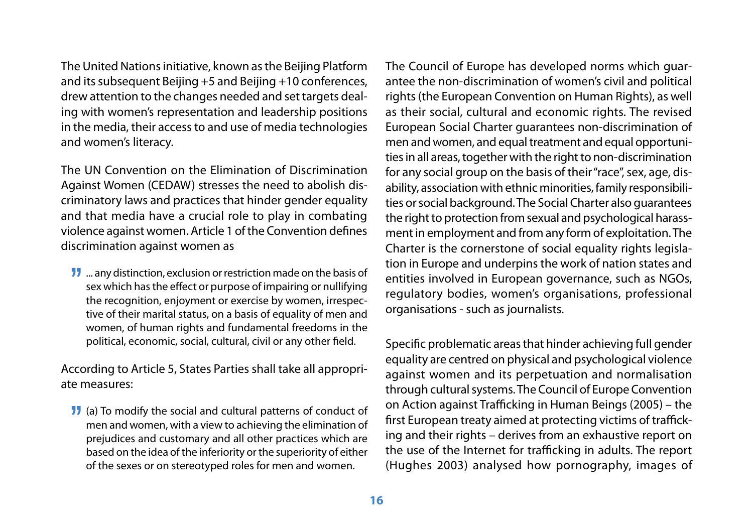The United Nations initiative, known as the Beijing Platform and its subsequent Beijing +5 and Beijing +10 conferences, drew attention to the changes needed and set targets dealing with women's representation and leadership positions in the media, their access to and use of media technologies and women's literacy.

The UN Convention on the Elimination of Discrimination Against Women (CEDAW) stresses the need to abolish discriminatory laws and practices that hinder gender equality and that media have a crucial role to play in combating violence against women. Article 1 of the Convention defines discrimination against women as

**11** ... any distinction, exclusion or restriction made on the basis of sex which has the effect or purpose of impairing or nullifying the recognition, enjoyment or exercise by women, irrespective of their marital status, on a basis of equality of men and women, of human rights and fundamental freedoms in the political, economic, social, cultural, civil or any other field.

According to Article 5, States Parties shall take all appropriate measures:

**11** (a) To modify the social and cultural patterns of conduct of men and women, with a view to achieving the elimination of prejudices and customary and all other practices which are based on the idea of the inferiority or the superiority of either of the sexes or on stereotyped roles for men and women.

The Council of Europe has developed norms which guarantee the non-discrimination of women's civil and political rights (the European Convention on Human Rights), as well as their social, cultural and economic rights. The revised European Social Charter guarantees non-discrimination of men and women, and equal treatment and equal opportunities in all areas, together with the right to non-discrimination for any social group on the basis of their "race", sex, age, disability, association with ethnic minorities, family responsibilities or social background. The Social Charter also guarantees the right to protection from sexual and psychological harassment in employment and from any form of exploitation. The Charter is the cornerstone of social equality rights legislation in Europe and underpins the work of nation states and entities involved in European governance, such as NGOs, regulatory bodies, women's organisations, professional organisations - such as journalists.

Specific problematic areas that hinder achieving full gender equality are centred on physical and psychological violence against women and its perpetuation and normalisation through cultural systems. The Council of Europe Convention on Action against Trafficking in Human Beings (2005) – the first European treaty aimed at protecting victims of trafficking and their rights – derives from an exhaustive report on the use of the Internet for trafficking in adults. The report (Hughes 2003) analysed how pornography, images of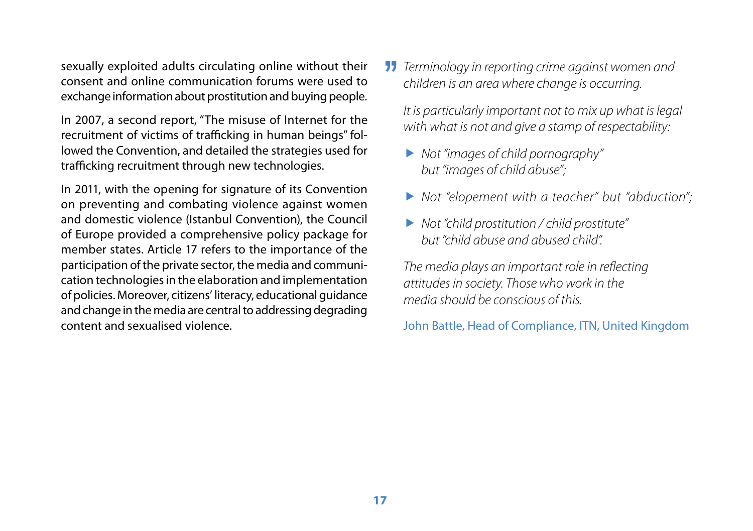sexually exploited adults circulating online without their consent and online communication forums were used to exchange information about prostitution and buying people.

In 2007, a second report, "The misuse of Internet for the recruitment of victims of trafficking in human beings" followed the Convention, and detailed the strategies used for trafficking recruitment through new technologies.

In 2011, with the opening for signature of its Convention on preventing and combating violence against women and domestic violence (Istanbul Convention), the Council of Europe provided a comprehensive policy package for member states. Article 17 refers to the importance of the participation of the private sector, the media and communication technologies in the elaboration and implementation of policies. Moreover, citizens' literacy, educational guidance and change in the media are central to addressing degrading content and sexualised violence.

*Terminology in reporting crime against women and children is an area where change is occurring.* 

*It is particularly important not to mix up what is legal with what is not and give a stamp of respectability:* 

- f *Not "images of child pornography" but "images of child abuse";*
- **•** Not "elopement with a teacher" but "abduction";
- f *Not "child prostitution / child prostitute" but "child abuse and abused child".*

*The media plays an important role in reflecting attitudes in society. Those who work in the media should be conscious of this.*

John Battle, Head of Compliance, ITN, United Kingdom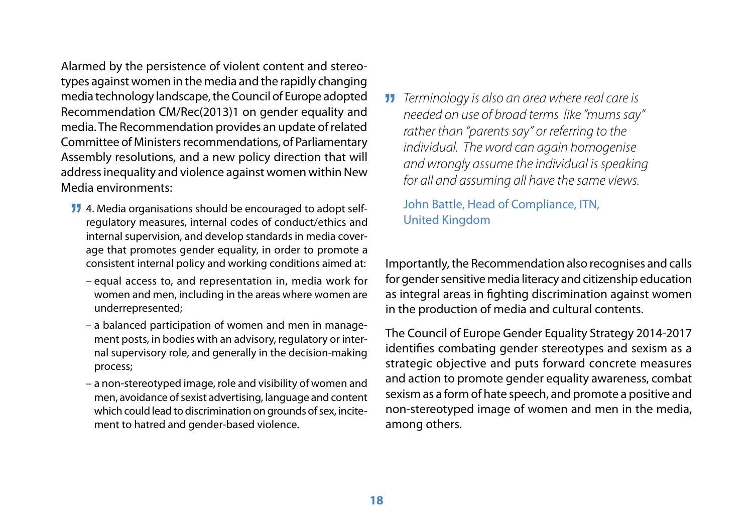Alarmed by the persistence of violent content and stereotypes against women in the media and the rapidly changing media technology landscape, the Council of Europe adopted Recommendation CM/Rec(2013)1 on gender equality and media. The Recommendation provides an update of related Committee of Ministers recommendations, of Parliamentary Assembly resolutions, and a new policy direction that will address inequality and violence against women within New Media environments:

- **11** 4. Media organisations should be encouraged to adopt selfregulatory measures, internal codes of conduct/ethics and internal supervision, and develop standards in media coverage that promotes gender equality, in order to promote a consistent internal policy and working conditions aimed at:
	- equal access to, and representation in, media work for women and men, including in the areas where women are underrepresented;
	- a balanced participation of women and men in management posts, in bodies with an advisory, regulatory or internal supervisory role, and generally in the decision-making process;
	- a non-stereotyped image, role and visibility of women and men, avoidance of sexist advertising, language and content which could lead to discrimination on grounds of sex, incitement to hatred and gender-based violence.

*Terminology is also an area where real care is needed on use of broad terms like "mums say" rather than "parents say" or referring to the individual. The word can again homogenise and wrongly assume the individual is speaking for all and assuming all have the same views.*

#### John Battle, Head of Compliance, ITN, United Kingdom

Importantly, the Recommendation also recognises and calls for gender sensitive media literacy and citizenship education as integral areas in fighting discrimination against women in the production of media and cultural contents.

The Council of Europe Gender Equality Strategy 2014-2017 identifies combating gender stereotypes and sexism as a strategic objective and puts forward concrete measures and action to promote gender equality awareness, combat sexism as a form of hate speech, and promote a positive and non-stereotyped image of women and men in the media, among others.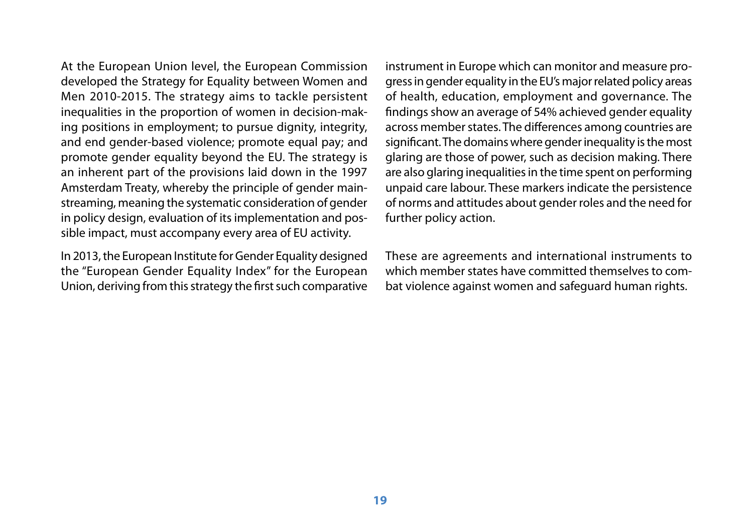At the European Union level, the European Commission developed the Strategy for Equality between Women and Men 2010-2015. The strategy aims to tackle persistent inequalities in the proportion of women in decision-making positions in employment; to pursue dignity, integrity, and end gender-based violence; promote equal pay; and promote gender equality beyond the EU. The strategy is an inherent part of the provisions laid down in the 1997 Amsterdam Treaty, whereby the principle of gender mainstreaming, meaning the systematic consideration of gender in policy design, evaluation of its implementation and possible impact, must accompany every area of EU activity.

In 2013, the European Institute for Gender Equality designed the "European Gender Equality Index" for the European Union, deriving from this strategy the first such comparative instrument in Europe which can monitor and measure progress in gender equality in the EU's major related policy areas of health, education, employment and governance. The findings show an average of 54% achieved gender equality across member states. The differences among countries are significant. The domains where gender inequality is the most glaring are those of power, such as decision making. There are also glaring inequalities in the time spent on performing unpaid care labour. These markers indicate the persistence of norms and attitudes about gender roles and the need for further policy action.

These are agreements and international instruments to which member states have committed themselves to combat violence against women and safeguard human rights.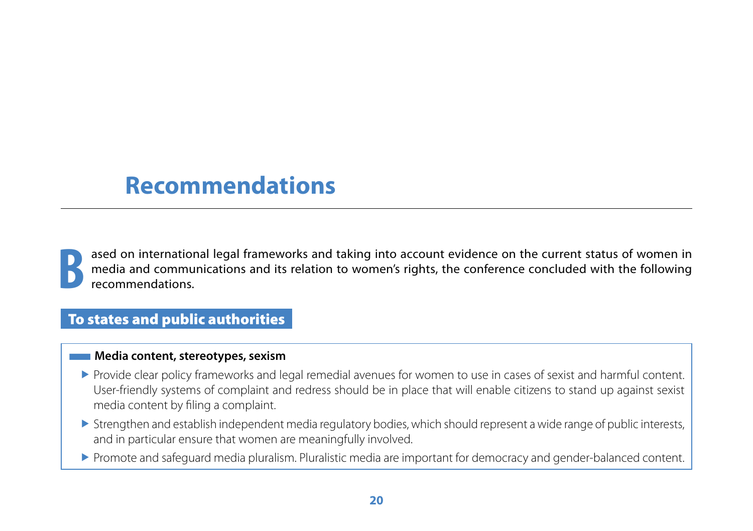# **Recommendations**

**B**ased on international legal frameworks and taking into account evidence on the current status of women in media and communications and its relation to women's rights, the conference concluded with the following recommendations.

### To states and public authorities

#### ■**Media content, stereotypes, sexism**

- Provide clear policy frameworks and legal remedial avenues for women to use in cases of sexist and harmful content. User-friendly systems of complaint and redress should be in place that will enable citizens to stand up against sexist media content by filing a complaint.
- $\triangleright$  Strengthen and establish independent media regulatory bodies, which should represent a wide range of public interests, and in particular ensure that women are meaningfully involved.
- **F** Promote and safeguard media pluralism. Pluralistic media are important for democracy and gender-balanced content.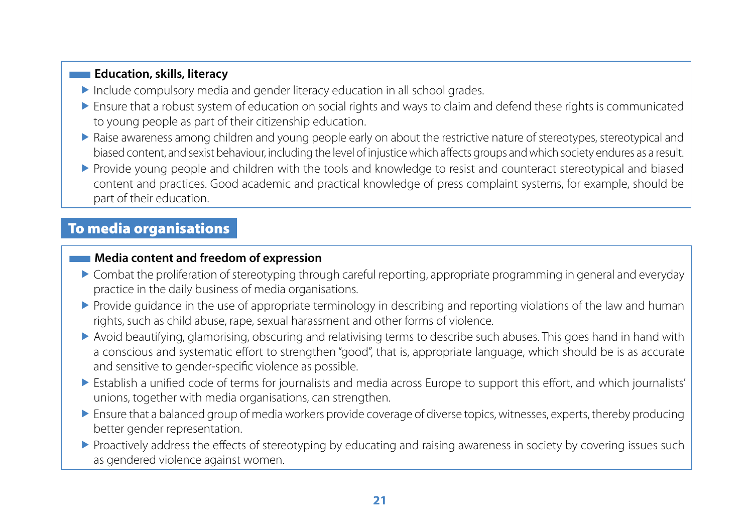#### ■**Education, skills, literacy**

- $\blacktriangleright$  Include compulsory media and gender literacy education in all school grades.
- $\blacktriangleright$  Ensure that a robust system of education on social rights and ways to claim and defend these rights is communicated to young people as part of their citizenship education.
- $\blacktriangleright$  Raise awareness among children and young people early on about the restrictive nature of stereotypes, stereotypical and biased content, and sexist behaviour, including the level of injustice which affects groups and which society endures as a result.
- **F** Provide young people and children with the tools and knowledge to resist and counteract stereotypical and biased content and practices. Good academic and practical knowledge of press complaint systems, for example, should be part of their education.

### To media organisations

#### $\blacksquare$  Media content and freedom of expression

- $\triangleright$  Combat the proliferation of stereotyping through careful reporting, appropriate programming in general and everyday practice in the daily business of media organisations.
- $\blacktriangleright$  Provide guidance in the use of appropriate terminology in describing and reporting violations of the law and human rights, such as child abuse, rape, sexual harassment and other forms of violence.
- $\blacktriangleright$  Avoid beautifying, glamorising, obscuring and relativising terms to describe such abuses. This goes hand in hand with a conscious and systematic effort to strengthen "good", that is, appropriate language, which should be is as accurate and sensitive to gender-specific violence as possible.
- $\blacktriangleright$  Establish a unified code of terms for journalists and media across Europe to support this effort, and which journalists' unions, together with media organisations, can strengthen.
- $\blacktriangleright$  Ensure that a balanced group of media workers provide coverage of diverse topics, witnesses, experts, thereby producing better gender representation.
- $\blacktriangleright$  Proactively address the effects of stereotyping by educating and raising awareness in society by covering issues such as gendered violence against women.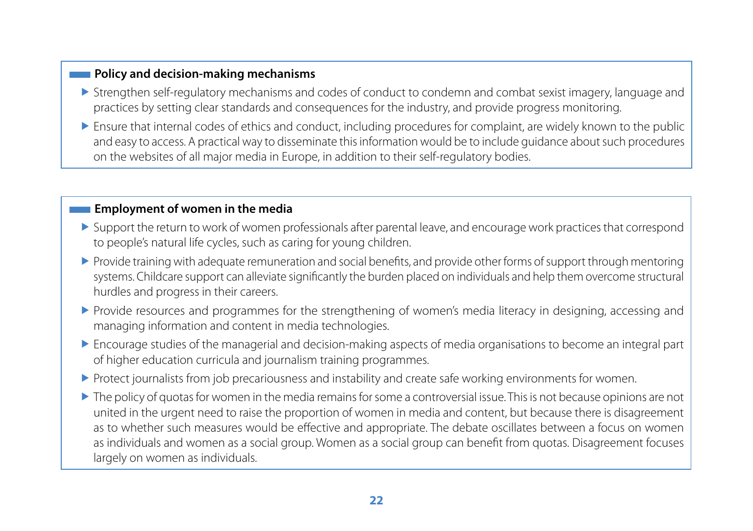#### ■**Policy and decision-making mechanisms**

- f Strengthen self-regulatory mechanisms and codes of conduct to condemn and combat sexist imagery, language and practices by setting clear standards and consequences for the industry, and provide progress monitoring.
- **Figure that internal codes of ethics and conduct, including procedures for complaint, are widely known to the public** and easy to access. A practical way to disseminate this information would be to include guidance about such procedures on the websites of all major media in Europe, in addition to their self-regulatory bodies.

#### ■**Employment of women in the media**

- $\triangleright$  Support the return to work of women professionals after parental leave, and encourage work practices that correspond to people's natural life cycles, such as caring for young children.
- $\blacktriangleright$  Provide training with adequate remuneration and social benefits, and provide other forms of support through mentoring systems. Childcare support can alleviate significantly the burden placed on individuals and help them overcome structural hurdles and progress in their careers.
- $\blacktriangleright$  Provide resources and programmes for the strengthening of women's media literacy in designing, accessing and managing information and content in media technologies.
- $\blacktriangleright$  Encourage studies of the managerial and decision-making aspects of media organisations to become an integral part of higher education curricula and journalism training programmes.
- $\blacktriangleright$  Protect journalists from job precariousness and instability and create safe working environments for women.
- $\blacktriangleright$  The policy of quotas for women in the media remains for some a controversial issue. This is not because opinions are not united in the urgent need to raise the proportion of women in media and content, but because there is disagreement as to whether such measures would be effective and appropriate. The debate oscillates between a focus on women as individuals and women as a social group. Women as a social group can benefit from quotas. Disagreement focuses largely on women as individuals.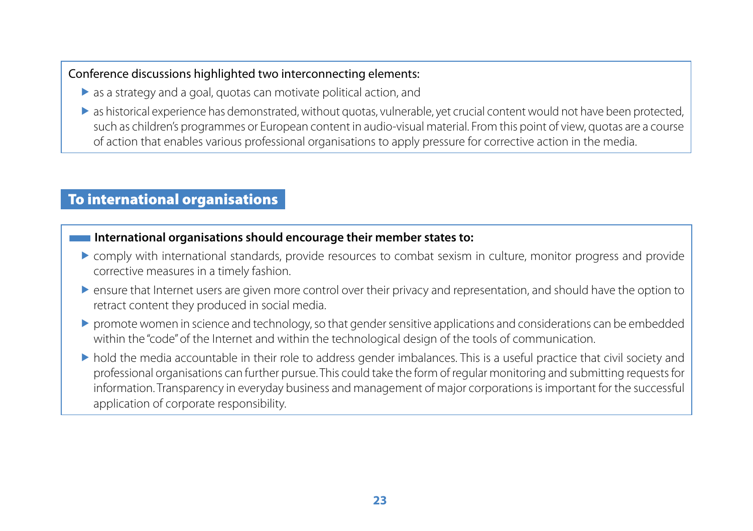#### Conference discussions highlighted two interconnecting elements:

- $\blacktriangleright$  as a strategy and a goal, quotas can motivate political action, and
- $\triangleright$  as historical experience has demonstrated, without quotas, vulnerable, yet crucial content would not have been protected, such as children's programmes or European content in audio-visual material. From this point of view, quotas are a course of action that enables various professional organisations to apply pressure for corrective action in the media.

### To international organisations

#### **International organisations should encourage their member states to:**

- f comply with international standards, provide resources to combat sexism in culture, monitor progress and provide corrective measures in a timely fashion.
- $\blacktriangleright$  ensure that Internet users are given more control over their privacy and representation, and should have the option to retract content they produced in social media.
- $\blacktriangleright$  promote women in science and technology, so that gender sensitive applications and considerations can be embedded within the "code" of the Internet and within the technological design of the tools of communication.
- $\blacktriangleright$  hold the media accountable in their role to address gender imbalances. This is a useful practice that civil society and professional organisations can further pursue. This could take the form of regular monitoring and submitting requests for information. Transparency in everyday business and management of major corporations is important for the successful application of corporate responsibility.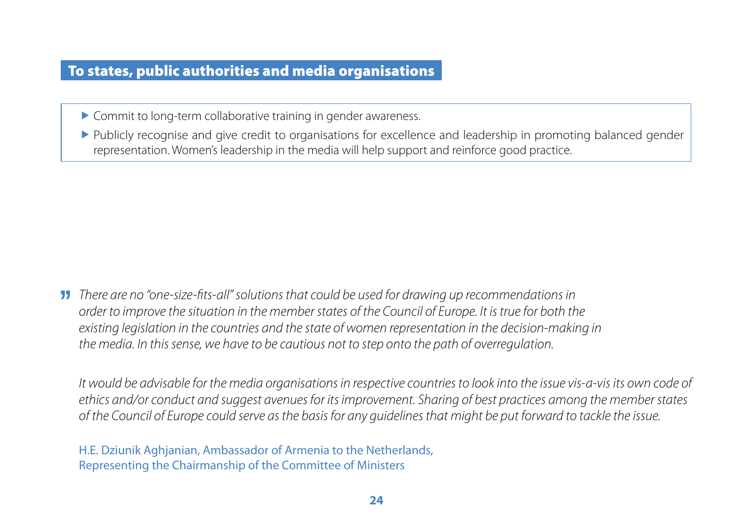### To states, public authorities and media organisations

 $\triangleright$  Commit to long-term collaborative training in gender awareness.

**F** Publicly recognise and give credit to organisations for excellence and leadership in promoting balanced gender representation. Women's leadership in the media will help support and reinforce good practice.

*There are no "one-size-fits-all" solutions that could be used for drawing up recommendations in order to improve the situation in the member states of the Council of Europe. It is true for both the existing legislation in the countries and the state of women representation in the decision-making in the media. In this sense, we have to be cautious not to step onto the path of overregulation.*

*It would be advisable for the media organisations in respective countries to look into the issue vis-a-vis its own code of ethics and/or conduct and suggest avenues for its improvement. Sharing of best practices among the member states of the Council of Europe could serve as the basis for any guidelines that might be put forward to tackle the issue.*

H.E. Dziunik Aghjanian, Ambassador of Armenia to the Netherlands, Representing the Chairmanship of the Committee of Ministers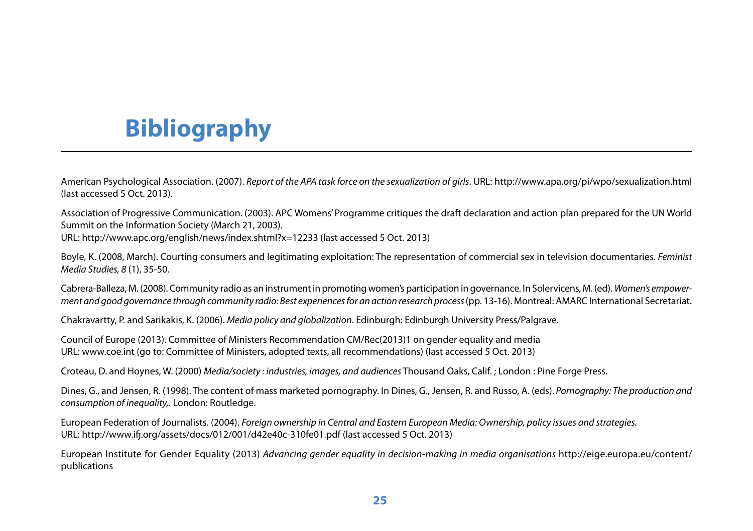# **Bibliography**

American Psychological Association. (2007). *Report of the APA task force on the sexualization of girls*. URL: http://www.apa.org/pi/wpo/sexualization.html (last accessed 5 Oct. 2013).

Association of Progressive Communication. (2003). APC Womens' Programme critiques the draft declaration and action plan prepared for the UN World Summit on the Information Society (March 21, 2003).

URL: <http://www.apc.org/english/news/index.shtml?x=12233>(last accessed 5 Oct. 2013)

Boyle, K. (2008, March). Courting consumers and legitimating exploitation: The representation of commercial sex in television documentaries. *Feminist Media Studies, 8* (1), 35-50.

Cabrera-Balleza, M. (2008). Community radio as an instrument in promoting women's participation in governance. In Solervicens, M. (ed). *Women's empowerment and good governance through community radio: Best experiences for an action research process* (pp. 13-16). Montreal: AMARC International Secretariat.

Chakravartty, P. and Sarikakis, K. (2006). *Media policy and globalization*. Edinburgh: Edinburgh University Press/Palgrave.

Council of Europe (2013). Committee of Ministers Recommendation CM/Rec(2013)1 on gender equality and media URL: www.coe.int (go to: Committee of Ministers, adopted texts, all recommendations) (last accessed 5 Oct. 2013)

Croteau, D. and Hoynes, W. (2000) *Media/society : industries, images, and audiences* Thousand Oaks, Calif. ; London : Pine Forge Press.

Dines, G., and Jensen, R. (1998). The content of mass marketed pornography. In Dines, G., Jensen, R. and Russo, A. (eds). *Pornography: The production and consumption of inequality,.* London: Routledge.

European Federation of Journalists. (2004). *Foreign ownership in Central and Eastern European Media: Ownership, policy issues and strategies.* URL: http://www.ifj.org/assets/docs/012/001/d42e40c-310fe01.pdf (last accessed 5 Oct. 2013)

European Institute for Gender Equality (2013) *[Advancing gender equality in decision-making in media organisations](http://eige.europa.eu/content/document/advancing-gender-equality-in-decision-making-in-media-organisations-report)* http://eige.europa.eu/content/ publications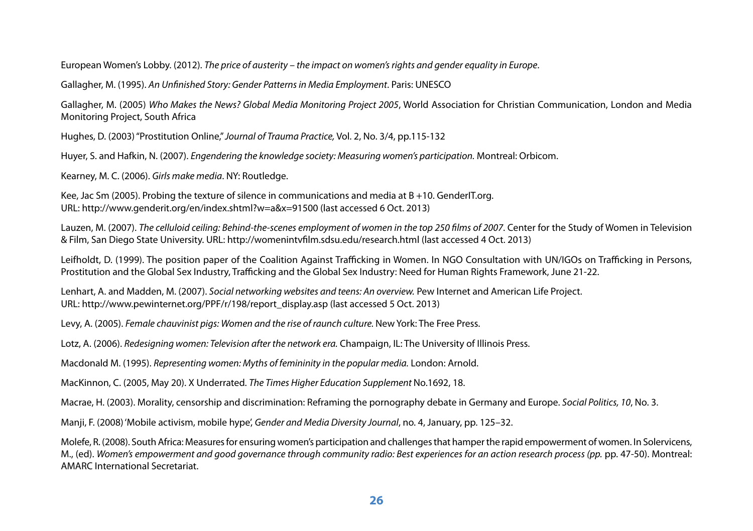European Women's Lobby. (2012). *The price of austerity – the impact on women's rights and gender equality in Europe*.

Gallagher, M. (1995). *An Unfinished Story: Gender Patterns in Media Employment*. Paris: UNESCO

Gallagher, M. (2005) *Who Makes the News? Global Media Monitoring Project 2005*, World Association for Christian Communication, London and Media Monitoring Project, South Africa

Hughes, D. (2003) "Prostitution Online," *Journal of Trauma Practice,* Vol. 2, No. 3/4, pp.115-132

Huyer, S. and Hafkin, N. (2007). *Engendering the knowledge society: Measuring women's participation.* Montreal: Orbicom.

Kearney, M. C. (2006). *Girls make media*. NY: Routledge.

Kee, Jac Sm (2005). Probing the texture of silence in communications and media at B +10. GenderIT.org. URL: <http://www.genderit.org/en/index.shtml?w=a&x=91500>(last accessed 6 Oct. 2013)

Lauzen, M. (2007). *The celluloid ceiling: Behind-the-scenes employment of women in the top 250 films of 2007*. Center for the Study of Women in Television & Film, San Diego State University. URL: http://womenintvfilm.sdsu.edu/research.html (last accessed 4 Oct. 2013)

Leifholdt, D. (1999). The position paper of the Coalition Against Trafficking in Women. In NGO Consultation with UN/IGOs on Trafficking in Persons, Prostitution and the Global Sex Industry, Trafficking and the Global Sex Industry: Need for Human Rights Framework, June 21-22.

Lenhart, A. and Madden, M. (2007). *Social networking websites and teens: An overview.* Pew Internet and American Life Project. URL: http://www.pewinternet.org/PPF/r/198/report\_display.asp (last accessed 5 Oct. 2013)

Levy, A. (2005). *Female chauvinist pigs: Women and the rise of raunch culture*. New York: The Free Press.

Lotz, A. (2006). *Redesigning women: Television after the network era.* Champaign, IL: The University of Illinois Press.

Macdonald M. (1995). *Representing women: Myths of femininity in the popular media.* London: Arnold.

MacKinnon, C. (2005, May 20). X Underrated. *The Times Higher Education Supplement* No.1692, 18.

Macrae, H. (2003). Morality, censorship and discrimination: Reframing the pornography debate in Germany and Europe. *Social Politics, 10*, No. 3.

Manji, F. (2008) 'Mobile activism, mobile hype', *Gender and Media Diversity Journal*, no. 4, January, pp. 125–32.

Molefe, R. (2008). South Africa: Measures for ensuring women's participation and challenges that hamper the rapid empowerment of women. In Solervicens, M., (ed). *Women's empowerment and good governance through community radio: Best experiences for an action research process (pp.* pp. 47-50). Montreal: AMARC International Secretariat.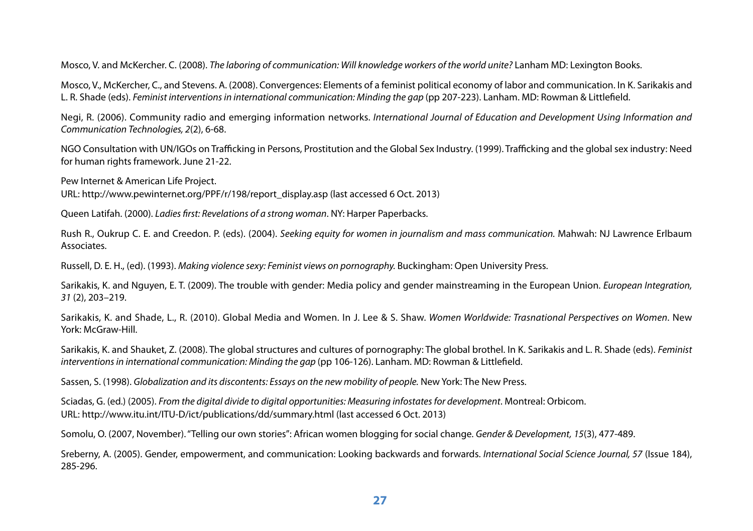Mosco, V. and McKercher. C. (2008). *The laboring of communication: Will knowledge workers of the world unite?* Lanham MD: Lexington Books.

Mosco, V., McKercher, C., and Stevens. A. (2008). Convergences: Elements of a feminist political economy of labor and communication. In K. Sarikakis and L. R. Shade (eds). *Feminist interventions in international communication: Minding the gap* (pp 207-223). Lanham. MD: Rowman & Littlefield.

Negi, R. (2006). Community radio and emerging information networks. *International Journal of Education and Development Using Information and Communication Technologies, 2*(2), 6-68.

NGO Consultation with UN/IGOs on Trafficking in Persons, Prostitution and the Global Sex Industry. (1999). Trafficking and the global sex industry: Need for human rights framework.June 21-22.

Pew Internet & American Life Project. URL: http://www.pewinternet.org/PPF/r/198/report\_display.asp (last accessed 6 Oct. 2013)

Queen Latifah. (2000). *Ladies first: Revelations of a strong woman*. NY: Harper Paperbacks.

Rush R., Oukrup C. E. and Creedon. P. (eds). (2004). *Seeking equity for women in journalism and mass communication.* Mahwah: NJ Lawrence Erlbaum Associates.

Russell, D. E. H., (ed). (1993). *Making violence sexy: Feminist views on pornography.* Buckingham: Open University Press.

Sarikakis, K. and Nguyen, E. T. (2009). The trouble with gender: Media policy and gender mainstreaming in the European Union. *European Integration, 31* (2), 203–219.

Sarikakis, K. and Shade, L., R. (2010). [Global Media and Women.](http://homepage.univie.ac.at/katharine.sarikakis/wp-content/uploads/2011/09/women-worldwide.pdf) In J. Lee & S. Shaw*. Women Worldwide: Trasnational Perspectives on Women*. New York: McGraw-Hill.

Sarikakis, K. and Shauket, Z. (2008). The global structures and cultures of pornography: The global brothel. In K. Sarikakis and L. R. Shade (eds). *Feminist interventions in international communication: Minding the gap* (pp 106-126). Lanham. MD: Rowman & Littlefield.

Sassen, S. (1998). *Globalization and its discontents: Essays on the new mobility of people.* New York: The New Press.

Sciadas, G. (ed.) (2005). *From the digital divide to digital opportunities: Measuring infostates for development*. Montreal: Orbicom. URL: http://www.itu.int/ITU-D/ict/publications/dd/summary.html (last accessed 6 Oct. 2013)

Somolu, O. (2007, November). "Telling our own stories": African women blogging for social change. *Gender & Development, 15*(3), 477-489.

Sreberny, A. (2005). Gender, empowerment, and communication: Looking backwards and forwards. *International Social Science Journal, 57* (Issue 184), 285-296.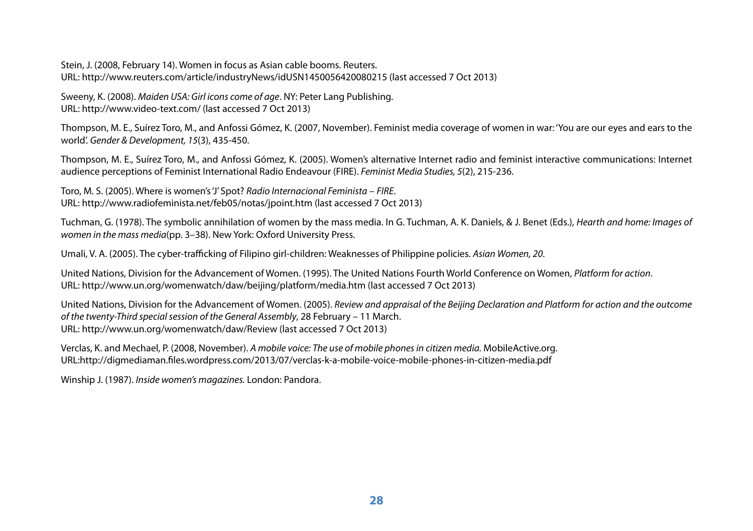Stein, J. (2008, February 14). Women in focus as Asian cable booms. Reuters. URL: http://www.reuters.com/article/industryNews/idUSN1450056420080215 (last accessed 7 Oct 2013)

Sweeny, K. (2008). *Maiden USA: Girl icons come of age*. NY: Peter Lang Publishing. URL: http://www.video-text.com/ (last accessed 7 Oct 2013)

Thompson, M. E., Suírez Toro, M., and Anfossi Gómez, K. (2007, November). Feminist media coverage of women in war: 'You are our eyes and ears to the world'. *Gender & Development, 15*(3), 435-450.

Thompson, M. E., Suírez Toro, M., and Anfossi Gómez, K. (2005). Women's alternative Internet radio and feminist interactive communications: Internet audience perceptions of Feminist International Radio Endeavour (FIRE). *Feminist Media Studies, 5*(2), 215-236.

Toro, M. S. (2005). Where is women's 'J' Spot? *Radio Internacional Feminista* – *FIRE*. URL: http://www.radiofeminista.net/feb05/notas/jpoint.htm (last accessed 7 Oct 2013)

Tuchman, G. (1978). The symbolic annihilation of women by the mass media. In G. Tuchman, A. K. Daniels, & J. Benet (Eds.), *Hearth and home: Images of women in the mass media*(pp. 3–38). New York: Oxford University Press.

Umali, V. A. (2005). The cyber-trafficking of Filipino girl-children: Weaknesses of Philippine policies. *Asian Women, 20*.

United Nations, Division for the Advancement of Women. (1995). The United Nations Fourth World Conference on Women, *Platform for action*. URL: http://www.un.org/womenwatch/daw/beijing/platform/media.htm (last accessed 7 Oct 2013)

United Nations, Division for the Advancement of Women. (2005). *Review and appraisal of the Beijing Declaration and Platform for action and the outcome of the twenty-Third special session of the General Assembly*, 28 February – 11 March. URL: http://www.un.org/womenwatch/daw/Review (last accessed 7 Oct 2013)

Verclas, K. and Mechael, P. (2008, November). *A mobile voice: The use of mobile phones in citizen media.* MobileActive.org. URL:http://digmediaman.files.wordpress.com/2013/07/verclas-k-a-mobile-voice-mobile-phones-in-citizen-media.pdf

Winship J. (1987). *Inside women's magazines.* London: Pandora.